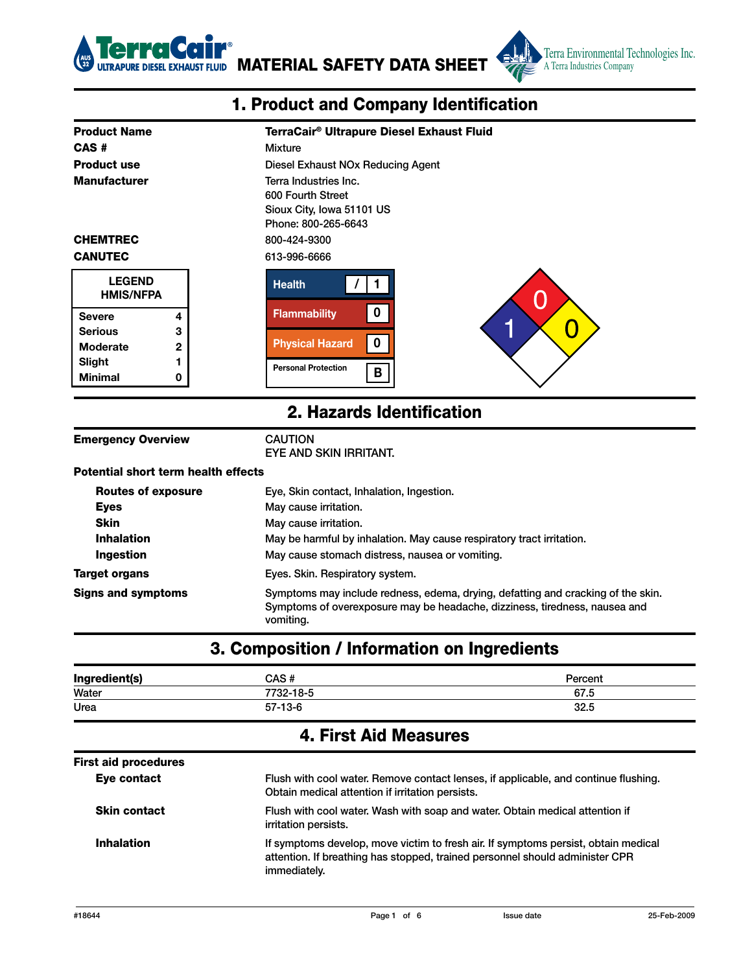

EL EXHAUST FLUID MATERIAL SAFETY DATA SHEET



| 1. Product and Company Identification      |                |                                                       |
|--------------------------------------------|----------------|-------------------------------------------------------|
| <b>Product Name</b>                        |                | TerraCair <sup>®</sup> Ultrapure Diesel Exhaust Fluid |
| CAS#                                       |                | Mixture                                               |
| <b>Product use</b>                         |                | Diesel Exhaust NOx Reducing Agent                     |
| <b>Manufacturer</b>                        |                | Terra Industries Inc.                                 |
|                                            |                | 600 Fourth Street                                     |
|                                            |                | Sioux City, Iowa 51101 US<br>Phone: 800-265-6643      |
| <b>CHEMTREC</b>                            |                | 800-424-9300                                          |
| <b>CANUTEC</b>                             |                | 613-996-6666                                          |
| <b>LEGEND</b><br><b>HMIS/NFPA</b>          |                | <b>Health</b><br>C                                    |
| <b>Severe</b>                              | 4              | $\mathbf 0$<br><b>Flammability</b>                    |
| <b>Serious</b>                             | 3              | н<br>Ü                                                |
| Moderate                                   | $\overline{2}$ | $\mathbf 0$<br><b>Physical Hazard</b>                 |
| Slight                                     | 1              | <b>Personal Protection</b>                            |
| <b>Minimal</b>                             | 0              | B                                                     |
|                                            |                | 2. Hazards Identification                             |
| <b>Emergency Overview</b>                  |                | <b>CAUTION</b><br>EYE AND SKIN IRRITANT.              |
| <b>Potential short term health effects</b> |                |                                                       |
| <b>Routes of exposure</b>                  |                | Eye, Skin contact, Inhalation, Ingestion.             |
| <b>Eves</b>                                |                | May cause irritation.                                 |

| Potential short term health effects |                                                                                                                                                                             |
|-------------------------------------|-----------------------------------------------------------------------------------------------------------------------------------------------------------------------------|
| <b>Routes of exposure</b>           | Eye, Skin contact, Inhalation, Ingestion.                                                                                                                                   |
| <b>Eyes</b>                         | May cause irritation.                                                                                                                                                       |
| <b>Skin</b>                         | May cause irritation.                                                                                                                                                       |
| <b>Inhalation</b>                   | May be harmful by inhalation. May cause respiratory tract irritation.                                                                                                       |
| Ingestion                           | May cause stomach distress, nausea or vomiting.                                                                                                                             |
| Target organs                       | Eyes. Skin. Respiratory system.                                                                                                                                             |
| Signs and symptoms                  | Symptoms may include redness, edema, drying, defatting and cracking of the skin.<br>Symptoms of overexposure may be headache, dizziness, tiredness, nausea and<br>vomiting. |

# 3. Composition / Information on Ingredients

| Ingredient(s) | CAS #     | Percent |
|---------------|-----------|---------|
| Water         | 7732-18-5 | 67.5    |
| Urea          | $57-13-6$ | 32.5    |

#### 4. First Aid Measures

| <b>First aid procedures</b> |                                                                                                                                                                                    |
|-----------------------------|------------------------------------------------------------------------------------------------------------------------------------------------------------------------------------|
| Eye contact                 | Flush with cool water. Remove contact lenses, if applicable, and continue flushing.<br>Obtain medical attention if irritation persists.                                            |
| <b>Skin contact</b>         | Flush with cool water. Wash with soap and water. Obtain medical attention if<br>irritation persists.                                                                               |
| <b>Inhalation</b>           | If symptoms develop, move victim to fresh air. If symptoms persist, obtain medical<br>attention. If breathing has stopped, trained personnel should administer CPR<br>immediately. |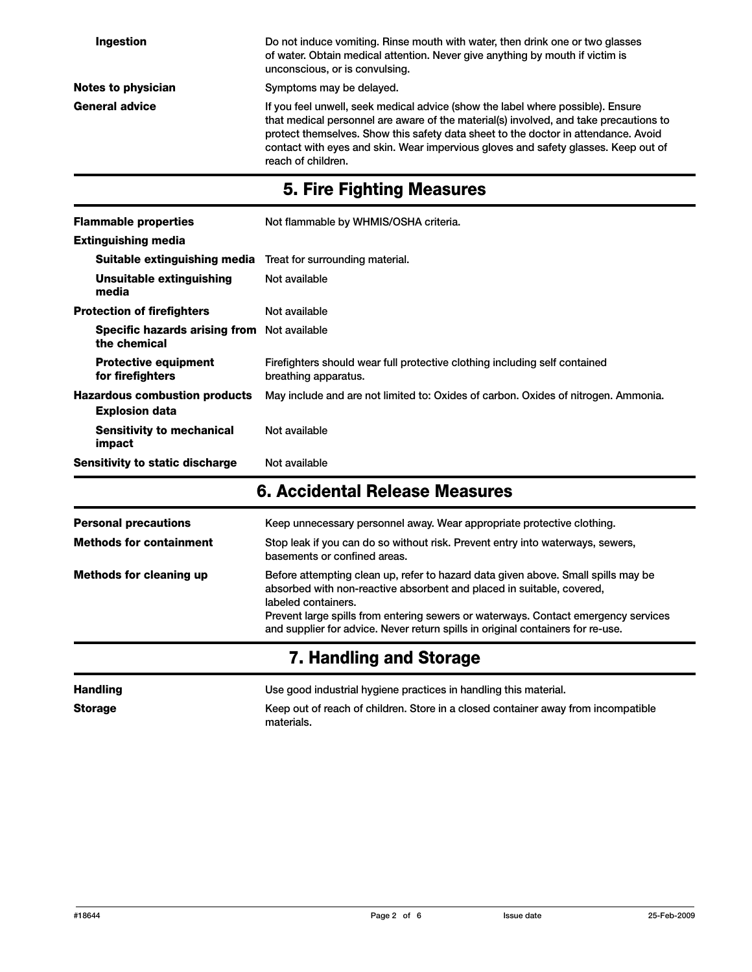| Ingestion                 | Do not induce vomiting. Rinse mouth with water, then drink one or two glasses<br>of water. Obtain medical attention. Never give anything by mouth if victim is<br>unconscious, or is convulsing.                                                                                                                                                                           |
|---------------------------|----------------------------------------------------------------------------------------------------------------------------------------------------------------------------------------------------------------------------------------------------------------------------------------------------------------------------------------------------------------------------|
| <b>Notes to physician</b> | Symptoms may be delayed.                                                                                                                                                                                                                                                                                                                                                   |
| <b>General advice</b>     | If you feel unwell, seek medical advice (show the label where possible). Ensure<br>that medical personnel are aware of the material(s) involved, and take precautions to<br>protect themselves. Show this safety data sheet to the doctor in attendance. Avoid<br>contact with eyes and skin. Wear impervious gloves and safety glasses. Keep out of<br>reach of children. |

## 5. Fire Fighting Measures

| <b>Flammable properties</b>                                   | Not flammable by WHMIS/OSHA criteria.                                                              |
|---------------------------------------------------------------|----------------------------------------------------------------------------------------------------|
| <b>Extinguishing media</b>                                    |                                                                                                    |
| Suitable extinguishing media                                  | Treat for surrounding material.                                                                    |
| Unsuitable extinguishing<br>media                             | Not available                                                                                      |
| <b>Protection of firefighters</b>                             | Not available                                                                                      |
| Specific hazards arising from Not available<br>the chemical   |                                                                                                    |
| <b>Protective equipment</b><br>for firefighters               | Firefighters should wear full protective clothing including self contained<br>breathing apparatus. |
| <b>Hazardous combustion products</b><br><b>Explosion data</b> | May include and are not limited to: Oxides of carbon. Oxides of nitrogen. Ammonia.                 |
| <b>Sensitivity to mechanical</b><br>impact                    | Not available                                                                                      |
| Sensitivity to static discharge                               | Not available                                                                                      |

#### 6. Accidental Release Measures

| <b>Personal precautions</b><br><b>Methods for containment</b> | Keep unnecessary personnel away. Wear appropriate protective clothing.<br>Stop leak if you can do so without risk. Prevent entry into waterways, sewers,<br>basements or confined areas.                                                                                                                                                                   |
|---------------------------------------------------------------|------------------------------------------------------------------------------------------------------------------------------------------------------------------------------------------------------------------------------------------------------------------------------------------------------------------------------------------------------------|
| <b>Methods for cleaning up</b>                                | Before attempting clean up, refer to hazard data given above. Small spills may be<br>absorbed with non-reactive absorbent and placed in suitable, covered,<br>labeled containers.<br>Prevent large spills from entering sewers or waterways. Contact emergency services<br>and supplier for advice. Never return spills in original containers for re-use. |

# 7. Handling and Storage

| <b>Handling</b> | Use good industrial hygiene practices in handling this material.                                |
|-----------------|-------------------------------------------------------------------------------------------------|
| <b>Storage</b>  | Keep out of reach of children. Store in a closed container away from incompatible<br>materials. |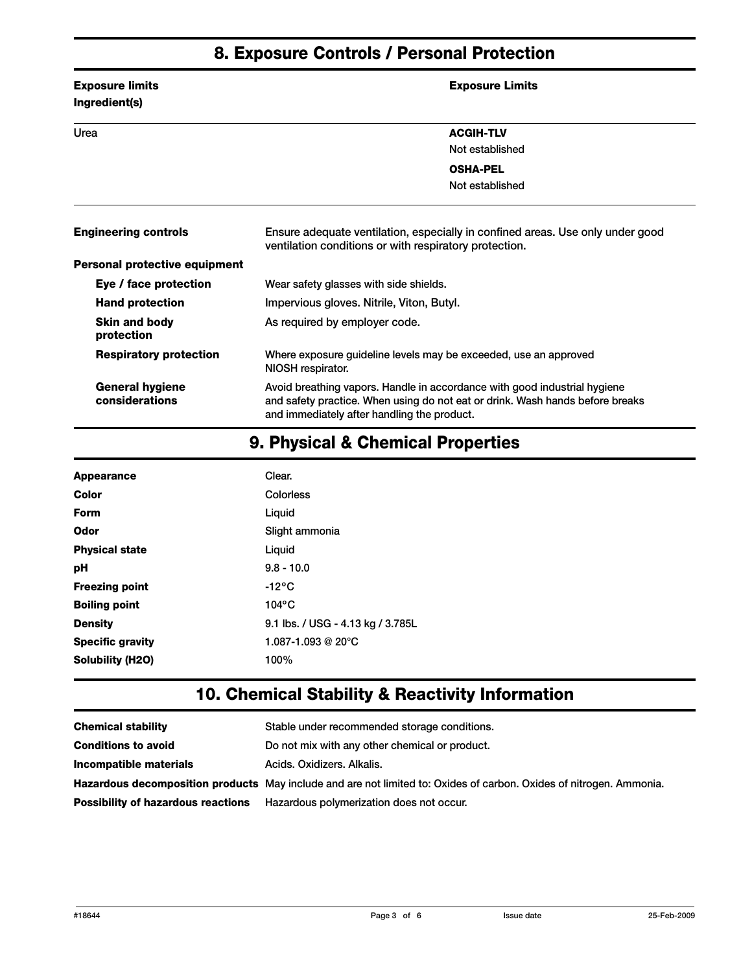#### 8. Exposure Controls / Personal Protection

| <b>Exposure limits</b><br>Ingredient(s)  | <b>Exposure Limits</b>                                                                                                                                                                                    |
|------------------------------------------|-----------------------------------------------------------------------------------------------------------------------------------------------------------------------------------------------------------|
| Urea                                     | <b>ACGIH-TLV</b>                                                                                                                                                                                          |
|                                          | Not established                                                                                                                                                                                           |
|                                          | <b>OSHA-PEL</b>                                                                                                                                                                                           |
|                                          | Not established                                                                                                                                                                                           |
| <b>Engineering controls</b>              | Ensure adequate ventilation, especially in confined areas. Use only under good<br>ventilation conditions or with respiratory protection.                                                                  |
| Personal protective equipment            |                                                                                                                                                                                                           |
| Eye / face protection                    | Wear safety glasses with side shields.                                                                                                                                                                    |
| <b>Hand protection</b>                   | Impervious gloves. Nitrile, Viton, Butyl.                                                                                                                                                                 |
| <b>Skin and body</b><br>protection       | As required by employer code.                                                                                                                                                                             |
| <b>Respiratory protection</b>            | Where exposure guideline levels may be exceeded, use an approved<br>NIOSH respirator.                                                                                                                     |
| <b>General hygiene</b><br>considerations | Avoid breathing vapors. Handle in accordance with good industrial hygiene<br>and safety practice. When using do not eat or drink. Wash hands before breaks<br>and immediately after handling the product. |

## 9. Physical & Chemical Properties

| <b>Appearance</b>       | Clear.                            |
|-------------------------|-----------------------------------|
| Color                   | Colorless                         |
| Form                    | Liquid                            |
| Odor                    | Slight ammonia                    |
| <b>Physical state</b>   | Liguid                            |
| рH                      | $9.8 - 10.0$                      |
| <b>Freezing point</b>   | -12°C                             |
| <b>Boiling point</b>    | $104$ °C                          |
| <b>Density</b>          | 9.1 lbs. / USG - 4.13 kg / 3.785L |
| <b>Specific gravity</b> | 1.087-1.093 @ 20°C                |
| Solubility (H2O)        | 100%                              |

## 10. Chemical Stability & Reactivity Information

| <b>Chemical stability</b>                 | Stable under recommended storage conditions.                                                                        |
|-------------------------------------------|---------------------------------------------------------------------------------------------------------------------|
| <b>Conditions to avoid</b>                | Do not mix with any other chemical or product.                                                                      |
| Incompatible materials                    | Acids, Oxidizers, Alkalis,                                                                                          |
|                                           | Hazardous decomposition products May include and are not limited to: Oxides of carbon. Oxides of nitrogen. Ammonia. |
| <b>Possibility of hazardous reactions</b> | Hazardous polymerization does not occur.                                                                            |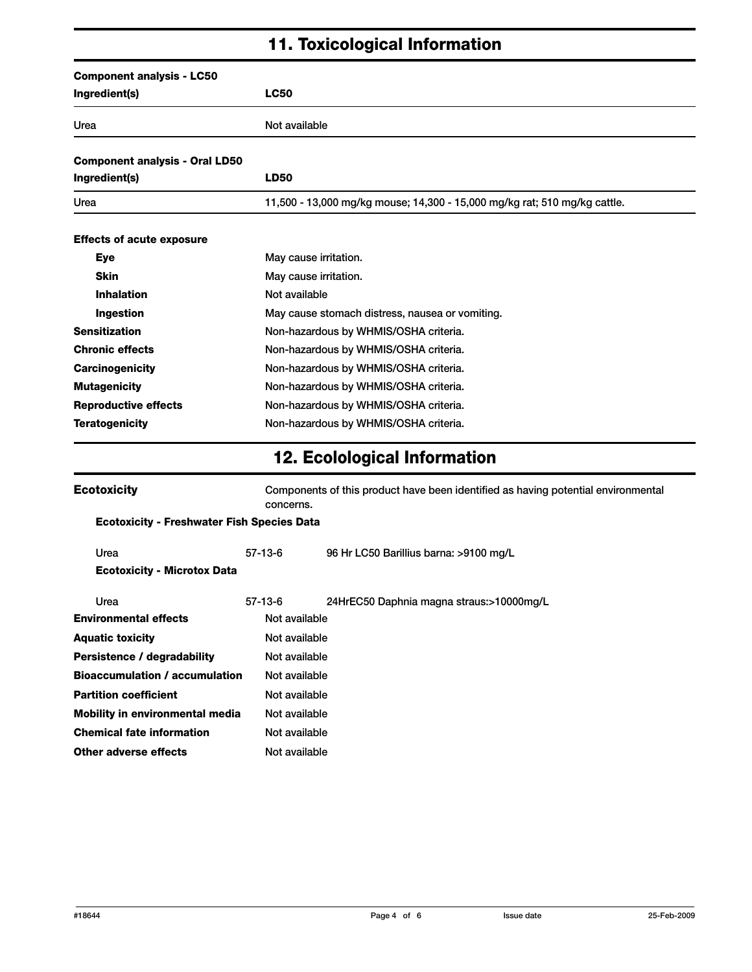## 11. Toxicological Information

| <b>Component analysis - LC50</b>      |                                                                           |
|---------------------------------------|---------------------------------------------------------------------------|
| Ingredient(s)                         | <b>LC50</b>                                                               |
| Urea                                  | Not available                                                             |
| <b>Component analysis - Oral LD50</b> |                                                                           |
| Ingredient(s)                         | <b>LD50</b>                                                               |
| Urea                                  | 11,500 - 13,000 mg/kg mouse; 14,300 - 15,000 mg/kg rat; 510 mg/kg cattle. |
| <b>Effects of acute exposure</b>      |                                                                           |
| <b>Eye</b>                            | May cause irritation.                                                     |
| <b>Skin</b>                           | May cause irritation.                                                     |
| <b>Inhalation</b>                     | Not available                                                             |
| Ingestion                             | May cause stomach distress, nausea or vomiting.                           |
| <b>Sensitization</b>                  | Non-hazardous by WHMIS/OSHA criteria.                                     |
| <b>Chronic effects</b>                | Non-hazardous by WHMIS/OSHA criteria.                                     |
| <b>Carcinogenicity</b>                | Non-hazardous by WHMIS/OSHA criteria.                                     |
| <b>Mutagenicity</b>                   | Non-hazardous by WHMIS/OSHA criteria.                                     |
| <b>Reproductive effects</b>           | Non-hazardous by WHMIS/OSHA criteria.                                     |
| <b>Teratogenicity</b>                 | Non-hazardous by WHMIS/OSHA criteria.                                     |

# 12. Ecolological Information

| <b>Ecotoxicity</b>                                | concerns.     | Components of this product have been identified as having potential environmental |  |  |
|---------------------------------------------------|---------------|-----------------------------------------------------------------------------------|--|--|
| <b>Ecotoxicity - Freshwater Fish Species Data</b> |               |                                                                                   |  |  |
| Urea                                              | 57-13-6       | 96 Hr LC50 Barillius barna: >9100 mg/L                                            |  |  |
| <b>Ecotoxicity - Microtox Data</b>                |               |                                                                                   |  |  |
| Urea                                              | $57-13-6$     | 24HrEC50 Daphnia magna straus:>10000mg/L                                          |  |  |
| <b>Environmental effects</b>                      | Not available |                                                                                   |  |  |
| <b>Aquatic toxicity</b>                           | Not available |                                                                                   |  |  |
| Persistence / degradability                       | Not available |                                                                                   |  |  |
| <b>Bioaccumulation / accumulation</b>             | Not available |                                                                                   |  |  |
| <b>Partition coefficient</b>                      | Not available |                                                                                   |  |  |
| <b>Mobility in environmental media</b>            | Not available |                                                                                   |  |  |
| <b>Chemical fate information</b>                  | Not available |                                                                                   |  |  |
| Other adverse effects                             | Not available |                                                                                   |  |  |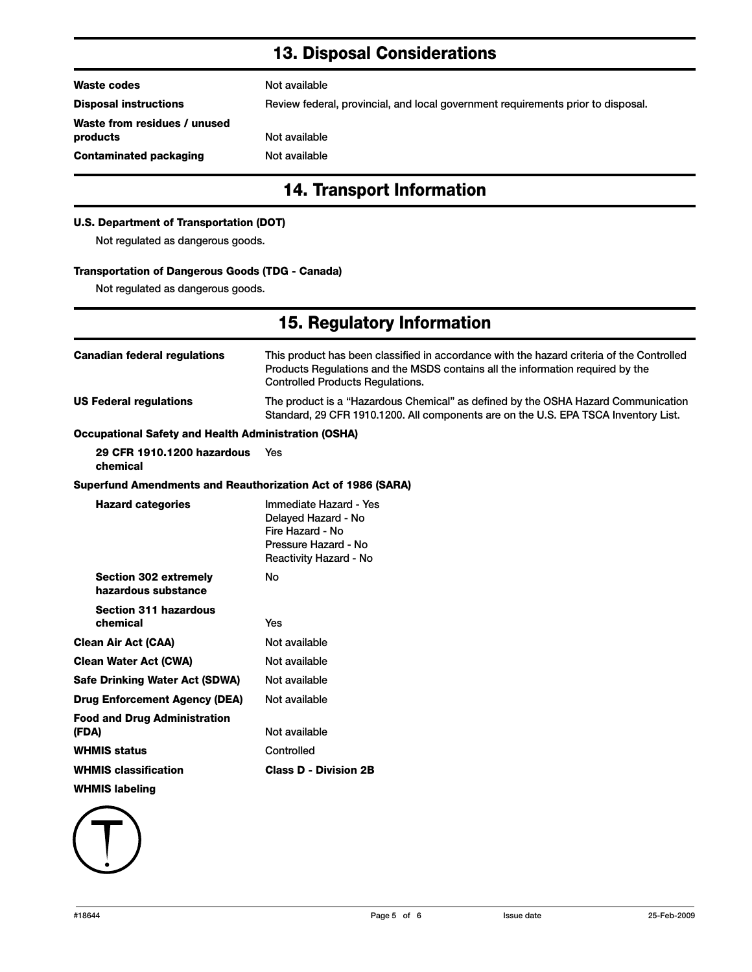## 13. Disposal Considerations

| <b>14. Transport Information</b>         |                                                                                  |  |  |  |
|------------------------------------------|----------------------------------------------------------------------------------|--|--|--|
| Contaminated packaging                   | Not available                                                                    |  |  |  |
| Waste from residues / unused<br>products | Not available                                                                    |  |  |  |
| <b>Disposal instructions</b>             | Review federal, provincial, and local government requirements prior to disposal. |  |  |  |
| Waste codes                              | Not available                                                                    |  |  |  |
|                                          |                                                                                  |  |  |  |

#### U.S. Department of Transportation (DOT)

Not regulated as dangerous goods.

#### Transportation of Dangerous Goods (TDG - Canada)

Not regulated as dangerous goods.

# 15. Regulatory Information

| <b>Canadian federal regulations</b>                         | This product has been classified in accordance with the hazard criteria of the Controlled<br>Products Regulations and the MSDS contains all the information reguired by the<br><b>Controlled Products Requlations.</b> |  |  |
|-------------------------------------------------------------|------------------------------------------------------------------------------------------------------------------------------------------------------------------------------------------------------------------------|--|--|
| <b>US Federal regulations</b>                               | The product is a "Hazardous Chemical" as defined by the OSHA Hazard Communication<br>Standard, 29 CFR 1910.1200. All components are on the U.S. EPA TSCA Inventory List.                                               |  |  |
| <b>Occupational Safety and Health Administration (OSHA)</b> |                                                                                                                                                                                                                        |  |  |
| 29 CFR 1910.1200 hazardous<br>chemical                      | Yes                                                                                                                                                                                                                    |  |  |
| Superfund Amendments and Reauthorization Act of 1986 (SARA) |                                                                                                                                                                                                                        |  |  |
| <b>Hazard categories</b>                                    | Immediate Hazard - Yes<br>Delayed Hazard - No<br>Fire Hazard - No<br>Pressure Hazard - No<br>Reactivity Hazard - No                                                                                                    |  |  |
| <b>Section 302 extremely</b><br>hazardous substance         | No                                                                                                                                                                                                                     |  |  |
| <b>Section 311 hazardous</b><br>chemical                    | Yes                                                                                                                                                                                                                    |  |  |
| <b>Clean Air Act (CAA)</b>                                  | Not available                                                                                                                                                                                                          |  |  |
| <b>Clean Water Act (CWA)</b>                                | Not available                                                                                                                                                                                                          |  |  |
| <b>Safe Drinking Water Act (SDWA)</b>                       | Not available                                                                                                                                                                                                          |  |  |
| <b>Drug Enforcement Agency (DEA)</b>                        | Not available                                                                                                                                                                                                          |  |  |
| <b>Food and Drug Administration</b><br>(FDA)                | Not available                                                                                                                                                                                                          |  |  |
| <b>WHMIS status</b>                                         | Controlled                                                                                                                                                                                                             |  |  |
| <b>WHMIS classification</b>                                 | <b>Class D - Division 2B</b>                                                                                                                                                                                           |  |  |
| <b>WHMIS labeling</b>                                       |                                                                                                                                                                                                                        |  |  |